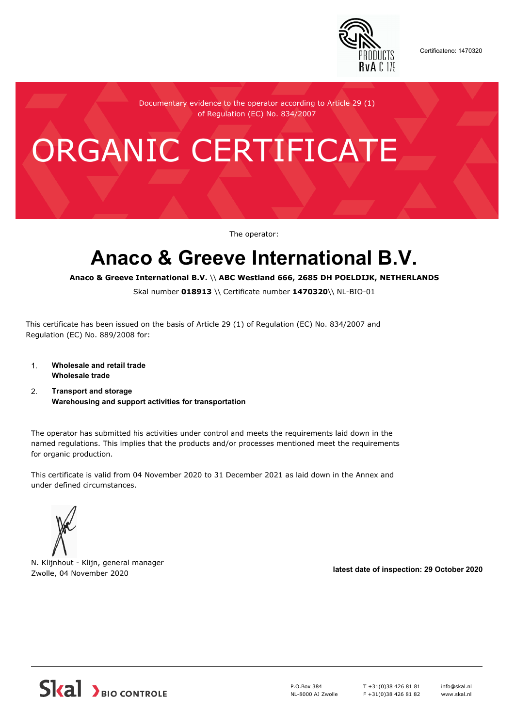

Certificateno: 1470320

Documentary evidence to the operator according to Article 29 (1) of Regulation (EC) No. 834/2007

## ORGANIC CERTIFICATE

The operator:

## **Anaco & Greeve International B.V.**

**Anaco & Greeve International B.V.** \\ **ABC Westland 666, 2685 DH POELDIJK, NETHERLANDS**

Skal number **018913** \\ Certificate number **1470320**\\ NL-BIO-01

This certificate has been issued on the basis of Article 29 (1) of Regulation (EC) No. 834/2007 and Regulation (EC) No. 889/2008 for:

- 1. **Wholesale and retail trade Wholesale trade**
- 2. **Transport and storage Warehousing and support activities for transportation**

The operator has submitted his activities under control and meets the requirements laid down in the named regulations. This implies that the products and/or processes mentioned meet the requirements for organic production.

This certificate is valid from 04 November 2020 to 31 December 2021 as laid down in the Annex and under defined circumstances.



N. Klijnhout - Klijn, general manager Zwolle, 04 November 2020 **latest date of inspection: 29 October 2020**



P.O.Box 384 NL-8000 AJ Zwolle